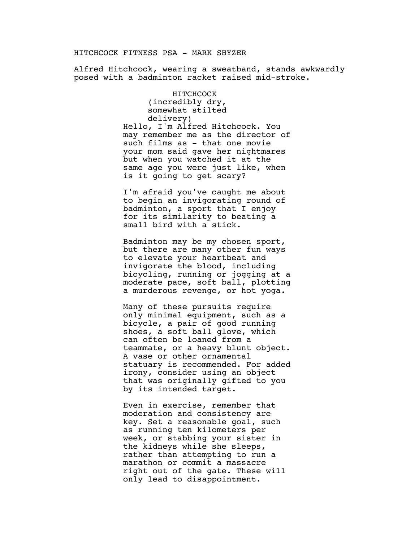## HITCHCOCK FITNESS PSA - MARK SHYZER

Alfred Hitchcock, wearing a sweatband, stands awkwardly posed with a badminton racket raised mid-stroke.

> HITCHCOCK (incredibly dry, somewhat stilted delivery) Hello, I'm Alfred Hitchcock. You may remember me as the director of such films as - that one movie your mom said gave her nightmares but when you watched it at the same age you were just like, when is it going to get scary?

I'm afraid you've caught me about to begin an invigorating round of badminton, a sport that I enjoy for its similarity to beating a small bird with a stick.

Badminton may be my chosen sport, but there are many other fun ways to elevate your heartbeat and invigorate the blood, including bicycling, running or jogging at a moderate pace, soft ball, plotting a murderous revenge, or hot yoga.

Many of these pursuits require only minimal equipment, such as a bicycle, a pair of good running shoes, a soft ball glove, which can often be loaned from a teammate, or a heavy blunt object. A vase or other ornamental statuary is recommended. For added irony, consider using an object that was originally gifted to you by its intended target.

Even in exercise, remember that moderation and consistency are key. Set a reasonable goal, such as running ten kilometers per week, or stabbing your sister in the kidneys while she sleeps, rather than attempting to run a marathon or commit a massacre right out of the gate. These will only lead to disappointment.